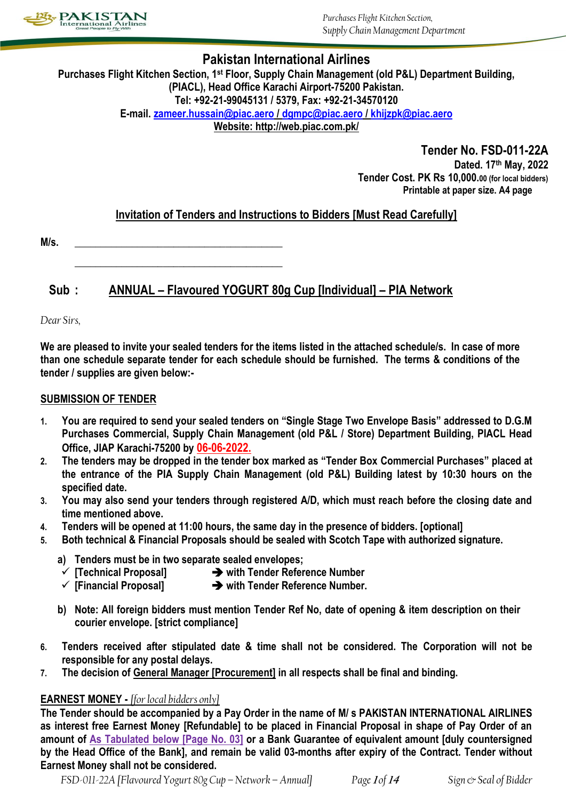

*Purchases Flight Kitchen Section, Supply Chain ManagementDepartment*

# **Pakistan International Airlines**

**Purchases Flight Kitchen Section, 1st Floor, Supply Chain Management (old P&L) Department Building, (PIACL), Head Office Karachi Airport-75200 Pakistan. Tel: +92-21-99045131 / 5379, Fax: +92-21-34570120 E-mail. [zameer.hussain@piac.aero](mailto:zameer.hussain@piac.aero) [/ dgmpc@piac.aero](mailto:dgmpc@piac.aero) / [khijzpk@piac.aero](mailto:khijzpk@piac.aero) Website: http://web.piac.com.pk/**

> **Tender No. FSD-011-22A Dated. 17th May, 2022 Tender Cost. PK Rs 10,000.00 (for local bidders) Printable at paper size. A4 page**

# **Invitation of Tenders and Instructions to Bidders [Must Read Carefully]**

**M/s. \_\_\_\_\_\_\_\_\_\_\_\_\_\_\_\_\_\_\_\_\_\_\_\_\_\_\_\_\_\_\_\_\_\_\_\_\_\_\_\_**

**\_\_\_\_\_\_\_\_\_\_\_\_\_\_\_\_\_\_\_\_\_\_\_\_\_\_\_\_\_\_\_\_\_\_\_\_\_\_\_\_**

**Sub : ANNUAL – Flavoured YOGURT 80g Cup [Individual] – PIA Network**

*Dear Sirs,*

**We are pleased to invite your sealed tenders for the items listed in the attached schedule/s. In case of more than one schedule separate tender for each schedule should be furnished. The terms & conditions of the tender / supplies are given below:-**

### **SUBMISSION OF TENDER**

- **1. You are required to send your sealed tenders on "Single Stage Two Envelope Basis" addressed to D.G.M Purchases Commercial, Supply Chain Management (old P&L / Store) Department Building, PIACL Head Office, JIAP Karachi-75200 by 06-06-2022.**
- **2. The tenders may be dropped in the tender box marked as "Tender Box Commercial Purchases" placed at the entrance of the PIA Supply Chain Management (old P&L) Building latest by 10:30 hours on the specified date.**
- **3. You may also send your tenders through registered A/D, which must reach before the closing date and time mentioned above.**
- **4. Tenders will be opened at 11:00 hours, the same day in the presence of bidders. [optional]**
- **5. Both technical & Financial Proposals should be sealed with Scotch Tape with authorized signature.**
	- **a) Tenders must be in two separate sealed envelopes;**
	- **[Technical Proposal] with Tender Reference Number**
	- **[Financial Proposal] with Tender Reference Number.**
	- **b) Note: All foreign bidders must mention Tender Ref No, date of opening & item description on their courier envelope. [strict compliance]**
- **6. Tenders received after stipulated date & time shall not be considered. The Corporation will not be responsible for any postal delays.**
- **7. The decision of General Manager [Procurement] in all respects shall be final and binding.**

## **EARNEST MONEY -** *[for local bidders only]*

**The Tender should be accompanied by a Pay Order in the name of M/ s PAKISTAN INTERNATIONAL AIRLINES as interest free Earnest Money [Refundable] to be placed in Financial Proposal in shape of Pay Order of an amount of As Tabulated below [Page No. 03] or a Bank Guarantee of equivalent amount [duly countersigned by the Head Office of the Bank], and remain be valid 03-months after expiry of the Contract. Tender without Earnest Money shall not be considered.**

*FSD-011-22A [Flavoured Yogurt 80g Cup –Network – Annual] Page* **<sup>1</sup>** *of* **<sup>14</sup>** *Sign & Seal of Bidder*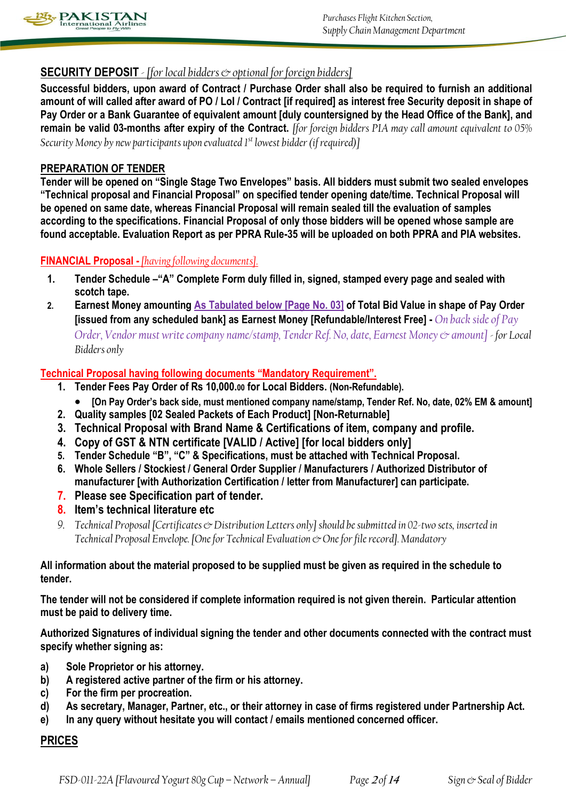

# **SECURITY DEPOSIT** *- [for local bidders & optional for foreign bidders]*

**Successful bidders, upon award of Contract / Purchase Order shall also be required to furnish an additional amount of will called after award of PO / LoI / Contract [if required] as interest free Security deposit in shape of Pay Order or a Bank Guarantee of equivalent amount [duly countersigned by the Head Office of the Bank], and remain be valid 03-months after expiry of the Contract.** *[for foreign bidders PIA may call amount equivalent to 05% Security Money by new participants upon evaluated 1st lowest bidder (if required)]*

### **PREPARATION OF TENDER**

**Tender will be opened on "Single Stage Two Envelopes" basis. All bidders must submit two sealed envelopes "Technical proposal and Financial Proposal" on specified tender opening date/time. Technical Proposal will be opened on same date, whereas Financial Proposal will remain sealed till the evaluation of samples according to the specifications. Financial Proposal of only those bidders will be opened whose sample are found acceptable. Evaluation Report as per PPRA Rule-35 will be uploaded on both PPRA and PIA websites.**

## **FINANCIAL Proposal -** *[having following documents].*

- **1. Tender Schedule –"A" Complete Form duly filled in, signed, stamped every page and sealed with scotch tape.**
- **2. Earnest Money amounting As Tabulated below [Page No. 03] of Total Bid Value in shape of Pay Order [issued from any scheduled bank] as Earnest Money [Refundable/Interest Free] -** *On back side of Pay Order, Vendor must write company name/stamp, Tender Ref. No, date, Earnest Money & amount] - for Local Bidders only*

### **Technical Proposal having following documents "Mandatory Requirement".**

- **1. Tender Fees Pay Order of Rs 10,000.00 for Local Bidders. (Non-Refundable).**
	- **[On Pay Order's back side, must mentioned company name/stamp, Tender Ref. No, date, 02% EM & amount]**
- **2. Quality samples [02 Sealed Packets of Each Product] [Non-Returnable]**
- **3. Technical Proposal with Brand Name & Certifications of item, company and profile.**
- **4. Copy of GST & NTN certificate [VALID / Active] [for local bidders only]**
- **5. Tender Schedule "B", "C" & Specifications, must be attached with Technical Proposal.**
- **6. Whole Sellers / Stockiest / General Order Supplier / Manufacturers / Authorized Distributor of manufacturer [with Authorization Certification / letter from Manufacturer] can participate.**
- **7. Please see Specification part of tender.**
- **8. Item's technical literature etc**
- *9. Technical Proposal [Certificates & Distribution Letters only] should be submitted in 02-two sets, inserted in Technical Proposal Envelope. [One for Technical Evaluation & One for file record]. Mandatory*

## **All information about the material proposed to be supplied must be given as required in the schedule to tender.**

**The tender will not be considered if complete information required is not given therein. Particular attention must be paid to delivery time.** 

**Authorized Signatures of individual signing the tender and other documents connected with the contract must specify whether signing as:** 

- **a) Sole Proprietor or his attorney.**
- **b) A registered active partner of the firm or his attorney.**
- **c) For the firm per procreation.**
- **d) As secretary, Manager, Partner, etc., or their attorney in case of firms registered under Partnership Act.**
- **e) In any query without hesitate you will contact / emails mentioned concerned officer.**

## **PRICES**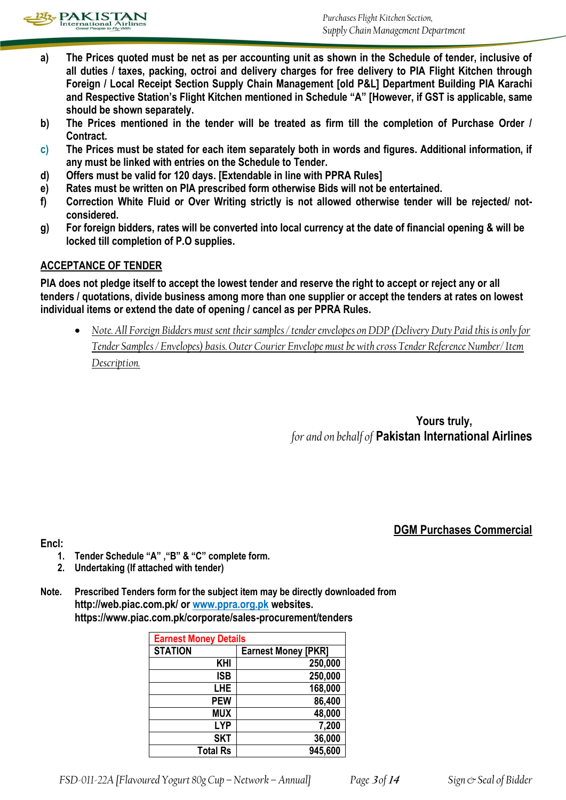

- **a) The Prices quoted must be net as per accounting unit as shown in the Schedule of tender, inclusive of all duties / taxes, packing, octroi and delivery charges for free delivery to PIA Flight Kitchen through Foreign / Local Receipt Section Supply Chain Management [old P&L] Department Building PIA Karachi and Respective Station's Flight Kitchen mentioned in Schedule "A" [However, if GST is applicable, same should be shown separately.**
- **b) The Prices mentioned in the tender will be treated as firm till the completion of Purchase Order / Contract.**
- **c) The Prices must be stated for each item separately both in words and figures. Additional information, if any must be linked with entries on the Schedule to Tender.**
- **d) Offers must be valid for 120 days. [Extendable in line with PPRA Rules]**
- **e) Rates must be written on PIA prescribed form otherwise Bids will not be entertained.**
- **f) Correction White Fluid or Over Writing strictly is not allowed otherwise tender will be rejected/ notconsidered.**
- **g) For foreign bidders, rates will be converted into local currency at the date of financial opening & will be locked till completion of P.O supplies.**

# **ACCEPTANCE OF TENDER**

**PIA does not pledge itself to accept the lowest tender and reserve the right to accept or reject any or all tenders / quotations, divide business among more than one supplier or accept the tenders at rates on lowest individual items or extend the date of opening / cancel as per PPRA Rules.**

 *Note. All Foreign Bidders must sent their samples / tender envelopes on DDP (Delivery Duty Paid this is only for Tender Samples / Envelopes) basis. Outer Courier Envelope must be with cross Tender Reference Number/ Item Description.*

> **Yours truly,** *for and on behalf of* **Pakistan International Airlines**

# **DGM Purchases Commercial**

**Encl:** 

- **1. Tender Schedule "A" ,"B" & "C" complete form.**
- **2. Undertaking (If attached with tender)**
- **Note. Prescribed Tenders form for the subject item may be directly downloaded from http://web.piac.com.pk/ or www.ppra.org.pk websites. https://www.piac.com.pk/corporate/sales-procurement/tenders**

| <b>Earnest Money Details</b> |                            |  |
|------------------------------|----------------------------|--|
| <b>STATION</b>               | <b>Earnest Money [PKR]</b> |  |
| <b>KHI</b>                   | 250,000                    |  |
| <b>ISB</b>                   | 250,000                    |  |
| <b>LHE</b>                   | 168,000                    |  |
| <b>PEW</b>                   | 86,400                     |  |
| <b>MUX</b>                   | 48,000                     |  |
| <b>LYP</b>                   | 7,200                      |  |
| <b>SKT</b>                   | 36,000                     |  |
| <b>Total Rs</b>              | 945,600                    |  |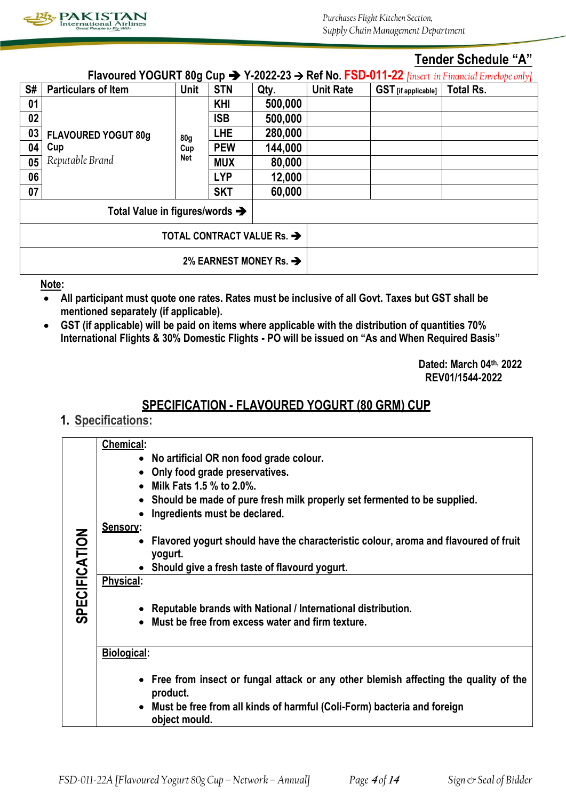

# **Tender Schedule "A"**

| Flavoured YOGURT 80g Cup $\rightarrow$ Y-2022-23 $\rightarrow$ Ref No. FSD-011-22 [insert in Financial Envelope only] |                            |                 |            |         |                  |                            |                  |
|-----------------------------------------------------------------------------------------------------------------------|----------------------------|-----------------|------------|---------|------------------|----------------------------|------------------|
| S#                                                                                                                    | <b>Particulars of Item</b> | <b>Unit</b>     | <b>STN</b> | Qty.    | <b>Unit Rate</b> | <b>GST</b> [if applicable] | <b>Total Rs.</b> |
| 01                                                                                                                    |                            |                 | <b>KHI</b> | 500,000 |                  |                            |                  |
| 02                                                                                                                    |                            |                 | <b>ISB</b> | 500,000 |                  |                            |                  |
| 03                                                                                                                    | <b>FLAVOURED YOGUT 80g</b> | 80 <sub>g</sub> | <b>LHE</b> | 280,000 |                  |                            |                  |
| 04                                                                                                                    | Cup                        | Cup<br>Net      | <b>PEW</b> | 144,000 |                  |                            |                  |
| 05                                                                                                                    | Reputable Brand            |                 | <b>MUX</b> | 80,000  |                  |                            |                  |
| 06                                                                                                                    |                            |                 | <b>LYP</b> | 12,000  |                  |                            |                  |
| 07                                                                                                                    |                            |                 | <b>SKT</b> | 60,000  |                  |                            |                  |
| Total Value in figures/words $\rightarrow$                                                                            |                            |                 |            |         |                  |                            |                  |
| TOTAL CONTRACT VALUE Rs. $\rightarrow$                                                                                |                            |                 |            |         |                  |                            |                  |
| 2% EARNEST MONEY Rs. $\rightarrow$                                                                                    |                            |                 |            |         |                  |                            |                  |

**Note:** 

- **All participant must quote one rates. Rates must be inclusive of all Govt. Taxes but GST shall be mentioned separately (if applicable).**
- **GST (if applicable) will be paid on items where applicable with the distribution of quantities 70% International Flights & 30% Domestic Flights - PO will be issued on "As and When Required Basis"**

**Dated: March 04th, 2022 REV01/1544-2022**

# **SPECIFICATION - FLAVOURED YOGURT (80 GRM) CUP**

# **1. Specifications:**

|                      | Chemical:                                                                                        |
|----------------------|--------------------------------------------------------------------------------------------------|
|                      | No artificial OR non food grade colour.                                                          |
|                      | Only food grade preservatives.                                                                   |
|                      | Milk Fats 1.5 % to 2.0%.                                                                         |
|                      | Should be made of pure fresh milk properly set fermented to be supplied.                         |
|                      | Ingredients must be declared.                                                                    |
|                      | Sensory:                                                                                         |
| <b>SPECIFICATION</b> | Flavored yogurt should have the characteristic colour, aroma and flavoured of fruit<br>$\bullet$ |
|                      | yogurt.                                                                                          |
|                      | • Should give a fresh taste of flavourd yogurt.                                                  |
|                      | Physical:                                                                                        |
|                      |                                                                                                  |
|                      | Reputable brands with National / International distribution.                                     |
|                      | • Must be free from excess water and firm texture.                                               |
|                      |                                                                                                  |
|                      | <b>Biological:</b>                                                                               |
|                      | • Free from insect or fungal attack or any other blemish affecting the quality of the            |
|                      | product.                                                                                         |
|                      | Must be free from all kinds of harmful (Coli-Form) bacteria and foreign                          |
|                      | object mould.                                                                                    |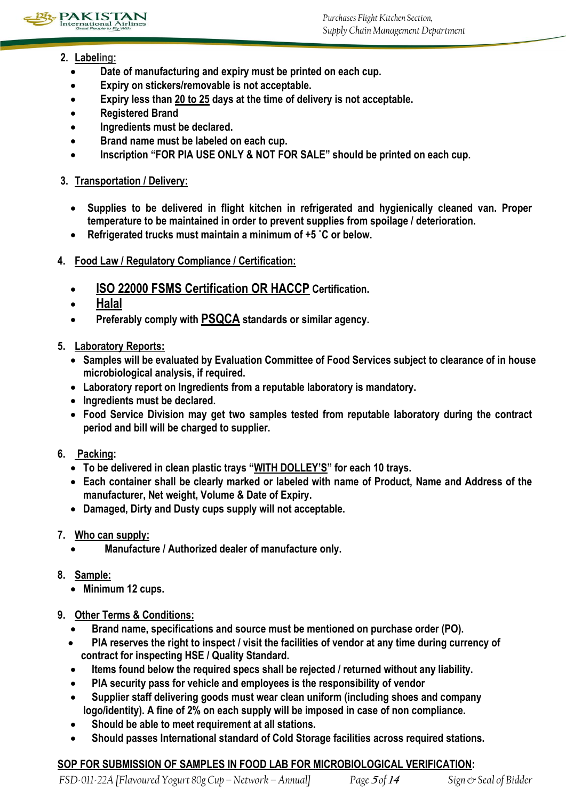

- **2. Labeling:** 
	- **Date of manufacturing and expiry must be printed on each cup.**
	- **Expiry on stickers/removable is not acceptable.**
	- **Expiry less than 20 to 25 days at the time of delivery is not acceptable.**
	- **Registered Brand**
	- **Ingredients must be declared.**
	- **•** Brand name must be labeled on each cup.
	- **Inscription "FOR PIA USE ONLY & NOT FOR SALE" should be printed on each cup.**

# **3. Transportation / Delivery:**

- **Supplies to be delivered in flight kitchen in refrigerated and hygienically cleaned van. Proper temperature to be maintained in order to prevent supplies from spoilage / deterioration.**
- **Refrigerated trucks must maintain a minimum of +5 ˚C or below.**
- **4. Food Law / Regulatory Compliance / Certification:** 
	- **ISO 22000 FSMS Certification OR HACCP Certification.**
	- **Halal**
	- **Preferably comply with PSQCA standards or similar agency.**
- **5. Laboratory Reports:** 
	- **Samples will be evaluated by Evaluation Committee of Food Services subject to clearance of in house microbiological analysis, if required.**
	- **Laboratory report on Ingredients from a reputable laboratory is mandatory.**
	- **Ingredients must be declared.**
	- **Food Service Division may get two samples tested from reputable laboratory during the contract period and bill will be charged to supplier.**
- **6. Packing:** 
	- **To be delivered in clean plastic trays "WITH DOLLEY'S" for each 10 trays.**
	- **Each container shall be clearly marked or labeled with name of Product, Name and Address of the manufacturer, Net weight, Volume & Date of Expiry.**
	- **Damaged, Dirty and Dusty cups supply will not acceptable.**
- **7. Who can supply:**
	- **Manufacture / Authorized dealer of manufacture only.**
- **8. Sample:** 
	- **Minimum 12 cups.**
- **9. Other Terms & Conditions:** 
	- **Brand name, specifications and source must be mentioned on purchase order (PO).**
	- **PIA reserves the right to inspect / visit the facilities of vendor at any time during currency of contract for inspecting HSE / Quality Standard.**
	- **Items found below the required specs shall be rejected / returned without any liability.**
	- **PIA security pass for vehicle and employees is the responsibility of vendor**
	- **Supplier staff delivering goods must wear clean uniform (including shoes and company logo/identity). A fine of 2% on each supply will be imposed in case of non compliance.**
	- **Should be able to meet requirement at all stations.**
	- **Should passes International standard of Cold Storage facilities across required stations.**

# **SOP FOR SUBMISSION OF SAMPLES IN FOOD LAB FOR MICROBIOLOGICAL VERIFICATION:**

*FSD-011-22A [Flavoured Yogurt 80g Cup –Network – Annual] Page* **<sup>5</sup>** *of* **<sup>14</sup>** *Sign & Seal of Bidder*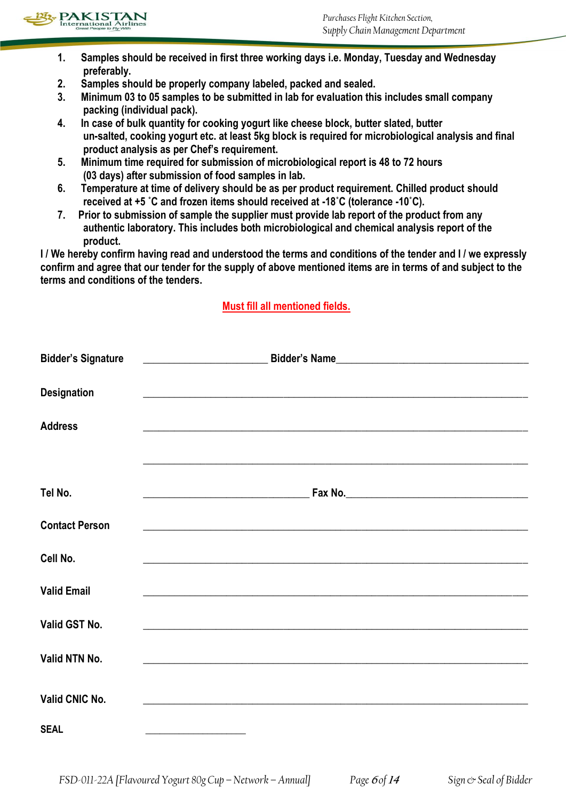

- **1. Samples should be received in first three working days i.e. Monday, Tuesday and Wednesday preferably.**
- **2. Samples should be properly company labeled, packed and sealed.**
- **3. Minimum 03 to 05 samples to be submitted in lab for evaluation this includes small company packing (individual pack).**
- **4. In case of bulk quantity for cooking yogurt like cheese block, butter slated, butter un-salted, cooking yogurt etc. at least 5kg block is required for microbiological analysis and final product analysis as per Chef's requirement.**
- **5. Minimum time required for submission of microbiological report is 48 to 72 hours (03 days) after submission of food samples in lab.**
- **6. Temperature at time of delivery should be as per product requirement. Chilled product should received at +5 ˚C and frozen items should received at -18˚C (tolerance -10˚C).**
- **7. Prior to submission of sample the supplier must provide lab report of the product from any authentic laboratory. This includes both microbiological and chemical analysis report of the product.**

**I / We hereby confirm having read and understood the terms and conditions of the tender and I / we expressly confirm and agree that our tender for the supply of above mentioned items are in terms of and subject to the terms and conditions of the tenders.** 

# **Must fill all mentioned fields.**

| <b>Bidder's Signature</b> | <u>Example 2001 - Bidder's Name</u> <b>Bidder's Name Example 2006</b>                                                                                                                                                                |
|---------------------------|--------------------------------------------------------------------------------------------------------------------------------------------------------------------------------------------------------------------------------------|
|                           |                                                                                                                                                                                                                                      |
| <b>Designation</b>        | <u> 1989 - Johann Stoff, amerikansk politiker (d. 1989)</u>                                                                                                                                                                          |
| <b>Address</b>            | <u>. In the second control of the second control of the second control of the second control of the second control of the second control of the second control of the second control of the second control of the second control</u> |
|                           |                                                                                                                                                                                                                                      |
| Tel No.                   |                                                                                                                                                                                                                                      |
| <b>Contact Person</b>     | <u> 1989 - Johann Stoff, amerikansk politiker (d. 1989)</u>                                                                                                                                                                          |
| Cell No.                  |                                                                                                                                                                                                                                      |
| <b>Valid Email</b>        | <u> 1989 - Johann Stoff, amerikansk politiker (d. 1989)</u>                                                                                                                                                                          |
| Valid GST No.             | <u> 1980 - Jan James James James James James James James James James James James James James James James James</u>                                                                                                                   |
| Valid NTN No.             | <u> 1989 - Johann Stoff, deutscher Stoff, der Stoff, der Stoff, der Stoff, der Stoff, der Stoff, der Stoff, der S</u>                                                                                                                |
| Valid CNIC No.            |                                                                                                                                                                                                                                      |
| <b>SEAL</b>               | <u> 1989 - Johann John Harry Harry Harry Harry Harry Harry Harry Harry Harry Harry Harry Harry Harry Harry Harry H</u>                                                                                                               |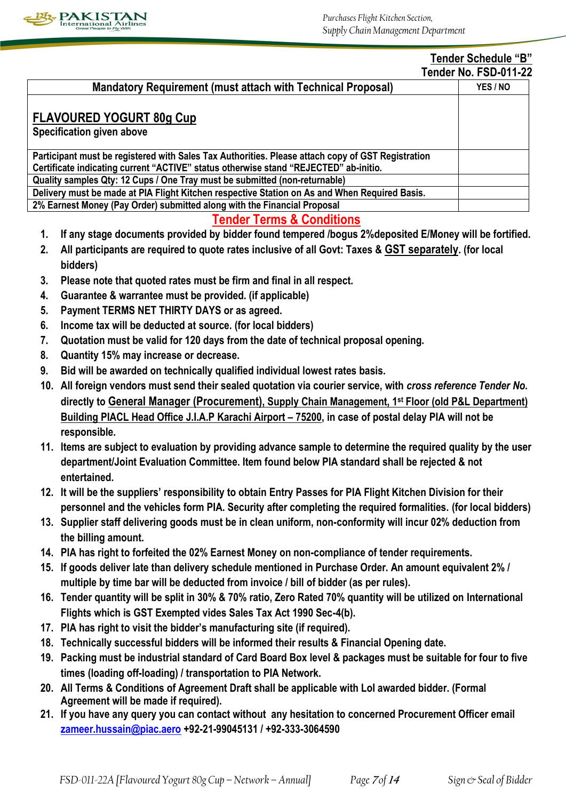

#### **Tender Schedule "B" Tender No. FSD-011-22**

|                                                                                                   | <u> Leliuel Ind. Lon-Alli-Cz</u> |
|---------------------------------------------------------------------------------------------------|----------------------------------|
| <b>Mandatory Requirement (must attach with Technical Proposal)</b>                                | YES / NO                         |
| <b>FLAVOURED YOGURT 80g Cup</b>                                                                   |                                  |
| Specification given above                                                                         |                                  |
| Participant must be registered with Sales Tax Authorities. Please attach copy of GST Registration |                                  |
| Certificate indicating current "ACTIVE" status otherwise stand "REJECTED" ab-initio.              |                                  |
| Quality samples Qty: 12 Cups / One Tray must be submitted (non-returnable)                        |                                  |
| Delivery must be made at PIA Flight Kitchen respective Station on As and When Required Basis.     |                                  |
| 2% Earnest Money (Pay Order) submitted along with the Financial Proposal                          |                                  |

# **Tender Terms & Conditions**

- **1. If any stage documents provided by bidder found tempered /bogus 2%deposited E/Money will be fortified.**
- **2. All participants are required to quote rates inclusive of all Govt: Taxes & GST separately. (for local bidders)**
- **3. Please note that quoted rates must be firm and final in all respect.**
- **4. Guarantee & warrantee must be provided. (if applicable)**
- **5. Payment TERMS NET THIRTY DAYS or as agreed.**
- **6. Income tax will be deducted at source. (for local bidders)**
- **7. Quotation must be valid for 120 days from the date of technical proposal opening.**
- **8. Quantity 15% may increase or decrease.**
- **9. Bid will be awarded on technically qualified individual lowest rates basis.**
- **10. All foreign vendors must send their sealed quotation via courier service, with** *cross reference Tender No.* **directly to General Manager (Procurement), Supply Chain Management, 1st Floor (old P&L Department) Building PIACL Head Office J.I.A.P Karachi Airport – 75200, in case of postal delay PIA will not be responsible.**
- **11. Items are subject to evaluation by providing advance sample to determine the required quality by the user department/Joint Evaluation Committee. Item found below PIA standard shall be rejected & not entertained.**
- **12. It will be the suppliers' responsibility to obtain Entry Passes for PIA Flight Kitchen Division for their personnel and the vehicles form PIA. Security after completing the required formalities. (for local bidders)**
- **13. Supplier staff delivering goods must be in clean uniform, non-conformity will incur 02% deduction from the billing amount.**
- **14. PIA has right to forfeited the 02% Earnest Money on non-compliance of tender requirements.**
- **15. If goods deliver late than delivery schedule mentioned in Purchase Order. An amount equivalent 2% / multiple by time bar will be deducted from invoice / bill of bidder (as per rules).**
- **16. Tender quantity will be split in 30% & 70% ratio, Zero Rated 70% quantity will be utilized on International Flights which is GST Exempted vides Sales Tax Act 1990 Sec-4(b).**
- **17. PIA has right to visit the bidder's manufacturing site (if required).**
- **18. Technically successful bidders will be informed their results & Financial Opening date.**
- **19. Packing must be industrial standard of Card Board Box level & packages must be suitable for four to five times (loading off-loading) / transportation to PIA Network.**
- **20. All Terms & Conditions of Agreement Draft shall be applicable with LoI awarded bidder. (Formal Agreement will be made if required).**
- **21. If you have any query you can contact without any hesitation to concerned Procurement Officer email [zameer.hussain@piac.aero](mailto:zameer.hussain@piac.aero) +92-21-99045131 / +92-333-3064590**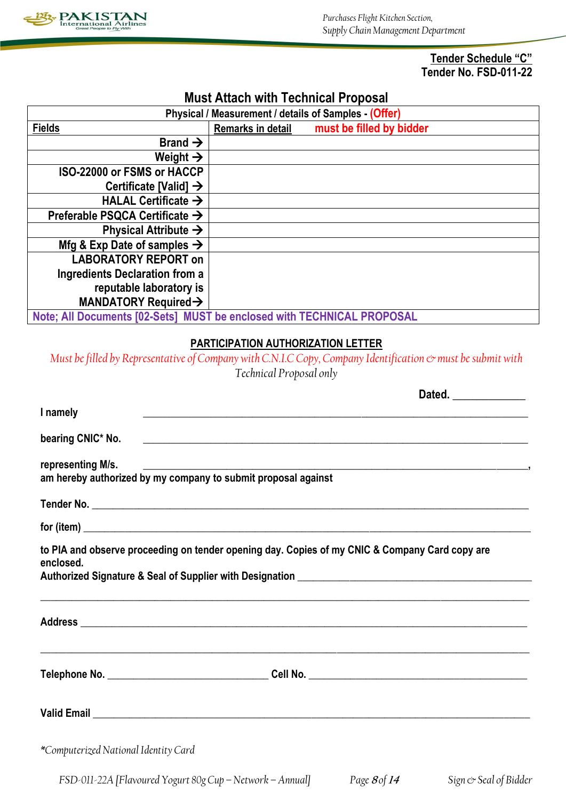

**Tender Schedule "C" Tender No. FSD-011-22**

**Dated. \_\_\_\_\_\_\_\_\_\_\_\_**

# **Must Attach with Technical Proposal**

| Physical / Measurement / details of Samples - (Offer)                  |                   |                          |  |
|------------------------------------------------------------------------|-------------------|--------------------------|--|
| <b>Fields</b>                                                          | Remarks in detail | must be filled by bidder |  |
| Brand $\rightarrow$                                                    |                   |                          |  |
| Weight $\rightarrow$                                                   |                   |                          |  |
| ISO-22000 or FSMS or HACCP                                             |                   |                          |  |
| Certificate [Valid] $\rightarrow$                                      |                   |                          |  |
| HALAL Certificate $\rightarrow$                                        |                   |                          |  |
| Preferable PSQCA Certificate $\rightarrow$                             |                   |                          |  |
| Physical Attribute $\rightarrow$                                       |                   |                          |  |
| Mfg & Exp Date of samples $\rightarrow$                                |                   |                          |  |
| <b>LABORATORY REPORT on</b>                                            |                   |                          |  |
| <b>Ingredients Declaration from a</b>                                  |                   |                          |  |
| reputable laboratory is                                                |                   |                          |  |
| MANDATORY Required $\rightarrow$                                       |                   |                          |  |
| Note; All Documents [02-Sets] MUST be enclosed with TECHNICAL PROPOSAL |                   |                          |  |

# **PARTICIPATION AUTHORIZATION LETTER**

*Must be filled by Representative of Company with C.N.I.C Copy, Company Identification*  $\infty$  *must be submit with Technical Proposal only*

|                                      | $\blacksquare$                                                                                 |  |
|--------------------------------------|------------------------------------------------------------------------------------------------|--|
| I namely                             | ,我们也不能在这里的时候,我们也不能在这里的时候,我们也不能在这里的时候,我们也不能会不能在这里的时候,我们也不能会不能会不能会不能会不能会不能会不能会不能会不               |  |
|                                      |                                                                                                |  |
| representing M/s.                    |                                                                                                |  |
|                                      |                                                                                                |  |
|                                      |                                                                                                |  |
| enclosed.                            | to PIA and observe proceeding on tender opening day. Copies of my CNIC & Company Card copy are |  |
|                                      |                                                                                                |  |
|                                      | ,我们也不能在这里的时候,我们也不能在这里的时候,我们也不能在这里的时候,我们也不能会不能在这里的时候,我们也不能会不能会不能会不能会不能会不能会不能会不能会不               |  |
|                                      |                                                                                                |  |
| *Computerized National Identity Card |                                                                                                |  |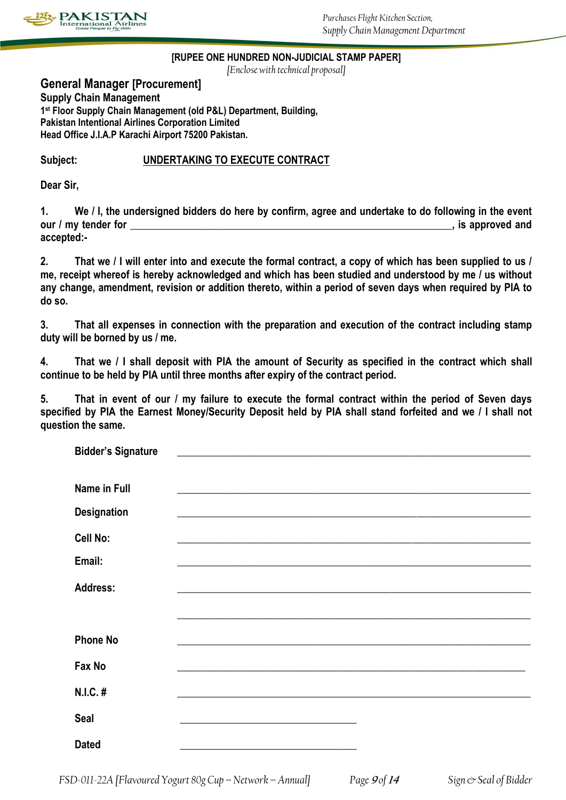

### **[RUPEE ONE HUNDRED NON-JUDICIAL STAMP PAPER]**

*[Enclose with technical proposal]*

**General Manager [Procurement] Supply Chain Management 1 st Floor Supply Chain Management (old P&L) Department, Building, Pakistan Intentional Airlines Corporation Limited Head Office J.I.A.P Karachi Airport 75200 Pakistan.**

## **Subject: UNDERTAKING TO EXECUTE CONTRACT**

**Dear Sir,**

**1. We / I, the undersigned bidders do here by confirm, agree and undertake to do following in the event our / my tender for**  extended and **our / my tender for accepted:-**

**2. That we / I will enter into and execute the formal contract, a copy of which has been supplied to us / me, receipt whereof is hereby acknowledged and which has been studied and understood by me / us without any change, amendment, revision or addition thereto, within a period of seven days when required by PIA to do so.**

**3. That all expenses in connection with the preparation and execution of the contract including stamp duty will be borned by us / me.**

**4. That we / I shall deposit with PIA the amount of Security as specified in the contract which shall continue to be held by PIA until three months after expiry of the contract period.**

**5. That in event of our / my failure to execute the formal contract within the period of Seven days specified by PIA the Earnest Money/Security Deposit held by PIA shall stand forfeited and we / I shall not question the same.**

| <b>Bidder's Signature</b> | <u> 1989 - Johann John Stein, mars an deus Amerikaansk kommunister (</u>                                              |  |
|---------------------------|-----------------------------------------------------------------------------------------------------------------------|--|
| Name in Full              |                                                                                                                       |  |
| <b>Designation</b>        | <u> 1989 - Johann Stoff, deutscher Stoff, der Stoff, der Stoff, der Stoff, der Stoff, der Stoff, der Stoff, der S</u> |  |
| Cell No:                  |                                                                                                                       |  |
| Email:                    |                                                                                                                       |  |
| <b>Address:</b>           |                                                                                                                       |  |
|                           |                                                                                                                       |  |
| <b>Phone No</b>           |                                                                                                                       |  |
| Fax No                    |                                                                                                                       |  |
| N.I.C. #                  |                                                                                                                       |  |
| <b>Seal</b>               | <u> 1989 - Johann Stoff, deutscher Stoff, der Stoff, der Stoff, der Stoff, der Stoff, der Stoff, der Stoff, der S</u> |  |
| <b>Dated</b>              |                                                                                                                       |  |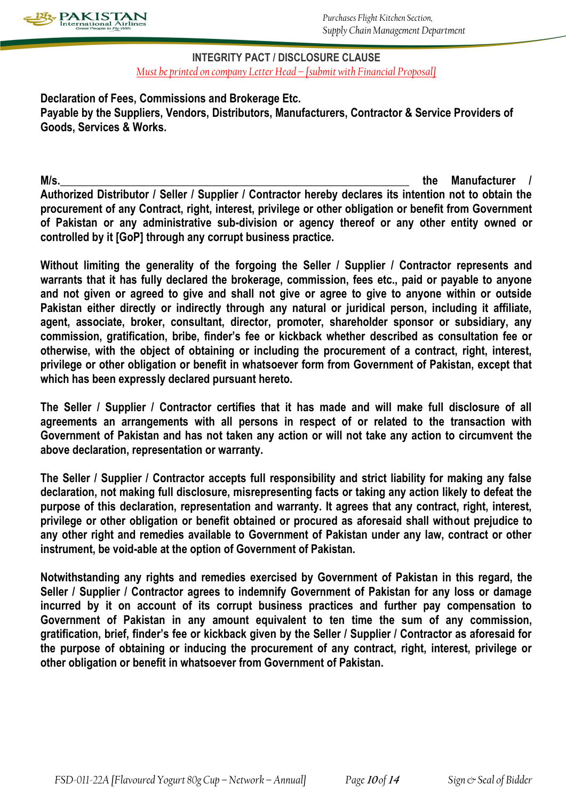

### **INTEGRITY PACT / DISCLOSURE CLAUSE** *Must be printed on company Letter Head – [submit with Financial Proposal]*

**Declaration of Fees, Commissions and Brokerage Etc. Payable by the Suppliers, Vendors, Distributors, Manufacturers, Contractor & Service Providers of Goods, Services & Works.**

M/s. **Authorized Distributor / Seller / Supplier / Contractor hereby declares its intention not to obtain the procurement of any Contract, right, interest, privilege or other obligation or benefit from Government of Pakistan or any administrative sub-division or agency thereof or any other entity owned or controlled by it [GoP] through any corrupt business practice.**

**Without limiting the generality of the forgoing the Seller / Supplier / Contractor represents and warrants that it has fully declared the brokerage, commission, fees etc., paid or payable to anyone and not given or agreed to give and shall not give or agree to give to anyone within or outside**  Pakistan either directly or indirectly through any natural or juridical person, including it affiliate, **agent, associate, broker, consultant, director, promoter, shareholder sponsor or subsidiary, any commission, gratification, bribe, finder's fee or kickback whether described as consultation fee or otherwise, with the object of obtaining or including the procurement of a contract, right, interest, privilege or other obligation or benefit in whatsoever form from Government of Pakistan, except that which has been expressly declared pursuant hereto.**

**The Seller / Supplier / Contractor certifies that it has made and will make full disclosure of all agreements an arrangements with all persons in respect of or related to the transaction with Government of Pakistan and has not taken any action or will not take any action to circumvent the above declaration, representation or warranty.**

**The Seller / Supplier / Contractor accepts full responsibility and strict liability for making any false declaration, not making full disclosure, misrepresenting facts or taking any action likely to defeat the purpose of this declaration, representation and warranty. It agrees that any contract, right, interest, privilege or other obligation or benefit obtained or procured as aforesaid shall without prejudice to any other right and remedies available to Government of Pakistan under any law, contract or other instrument, be void-able at the option of Government of Pakistan.**

**Notwithstanding any rights and remedies exercised by Government of Pakistan in this regard, the Seller / Supplier / Contractor agrees to indemnify Government of Pakistan for any loss or damage incurred by it on account of its corrupt business practices and further pay compensation to Government of Pakistan in any amount equivalent to ten time the sum of any commission, gratification, brief, finder's fee or kickback given by the Seller / Supplier / Contractor as aforesaid for the purpose of obtaining or inducing the procurement of any contract, right, interest, privilege or other obligation or benefit in whatsoever from Government of Pakistan.**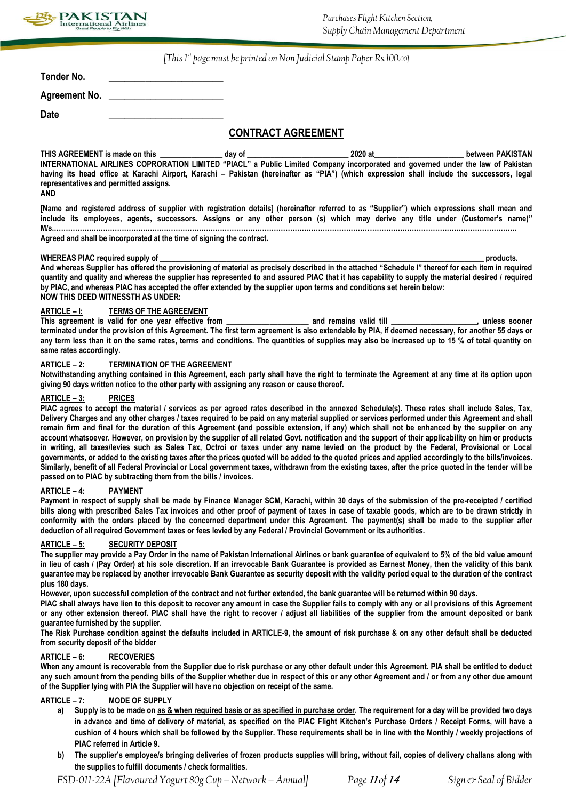

*[This 1st page must be printed on Non Judicial Stamp Paper Rs.100.00]*

| Tender No.           |  |
|----------------------|--|
| <b>Agreement No.</b> |  |

**Date \_\_\_\_\_\_\_\_\_\_\_\_\_\_\_\_\_\_\_\_\_\_**

### **CONTRACT AGREEMENT**

**THIS AGREEMENT is made on this \_\_\_\_\_\_\_\_\_\_\_\_\_\_\_\_ day of \_\_\_\_\_\_\_\_\_\_\_\_\_\_\_\_\_\_\_\_\_\_\_\_\_\_ 2020 at\_\_\_\_\_\_\_\_\_\_\_\_\_\_\_\_\_\_\_\_\_\_\_ between PAKISTAN INTERNATIONAL AIRLINES COPRORATION LIMITED "PIACL" a Public Limited Company incorporated and governed under the law of Pakistan having its head office at Karachi Airport, Karachi – Pakistan (hereinafter as "PIA") (which expression shall include the successors, legal representatives and permitted assigns.**

**AND**

**[Name and registered address of supplier with registration details] (hereinafter referred to as "Supplier") which expressions shall mean and include its employees, agents, successors. Assigns or any other person (s) which may derive any title under (Customer's name)" M/s.………………………………………………………………………………………………………………………………………………………………………………**

**Agreed and shall be incorporated at the time of signing the contract.**

#### **WHEREAS PIAC required supply of \_\_\_\_\_\_\_\_\_\_\_\_\_\_\_\_\_\_\_\_\_\_\_\_\_\_\_\_\_\_\_\_\_\_\_\_\_\_\_\_\_\_\_\_\_\_\_\_\_\_\_\_\_\_\_\_\_\_\_\_\_\_\_\_\_\_\_\_\_\_\_\_\_\_\_\_\_\_\_\_\_\_\_ products.**

**And whereas Supplier has offered the provisioning of material as precisely described in the attached "Schedule I" thereof for each item in required quantity and quality and whereas the supplier has represented to and assured PIAC that it has capability to supply the material desired / required by PIAC, and whereas PIAC has accepted the offer extended by the supplier upon terms and conditions set herein below: NOW THIS DEED WITNESSTH AS UNDER:**

#### **ARTICLE – I: TERMS OF THE AGREEMENT**

**This agreement is valid for one year effective from \_\_\_\_\_\_\_\_\_\_\_\_\_\_\_\_\_\_\_\_\_ and remains valid till \_\_\_\_\_\_\_\_\_\_\_\_\_\_\_\_\_\_\_\_\_\_, unless sooner terminated under the provision of this Agreement. The first term agreement is also extendable by PIA, if deemed necessary, for another 55 days or any term less than it on the same rates, terms and conditions. The quantities of supplies may also be increased up to 15 % of total quantity on same rates accordingly.** 

#### **ARTICLE – 2: TERMINATION OF THE AGREEMENT**

**Notwithstanding anything contained in this Agreement, each party shall have the right to terminate the Agreement at any time at its option upon giving 90 days written notice to the other party with assigning any reason or cause thereof.**

#### **ARTICLE – 3: PRICES**

**PIAC agrees to accept the material / services as per agreed rates described in the annexed Schedule(s). These rates shall include Sales, Tax, Delivery Charges and any other charges / taxes required to be paid on any material supplied or services performed under this Agreement and shall remain firm and final for the duration of this Agreement (and possible extension, if any) which shall not be enhanced by the supplier on any account whatsoever. However, on provision by the supplier of all related Govt. notification and the support of their applicability on him or products in writing, all taxes/levies such as Sales Tax, Octroi or taxes under any name levied on the product by the Federal, Provisional or Local governments, or added to the existing taxes after the prices quoted will be added to the quoted prices and applied accordingly to the bills/invoices. Similarly, benefit of all Federal Provincial or Local government taxes, withdrawn from the existing taxes, after the price quoted in the tender will be passed on to PIAC by subtracting them from the bills / invoices.**

#### **ARTICLE – 4: PAYMENT**

**Payment in respect of supply shall be made by Finance Manager SCM, Karachi, within 30 days of the submission of the pre-receipted / certified bills along with prescribed Sales Tax invoices and other proof of payment of taxes in case of taxable goods, which are to be drawn strictly in conformity with the orders placed by the concerned department under this Agreement. The payment(s) shall be made to the supplier after deduction of all required Government taxes or fees levied by any Federal / Provincial Government or its authorities.**

#### **ARTICLE – 5: SECURITY DEPOSIT**

**The supplier may provide a Pay Order in the name of Pakistan International Airlines or bank guarantee of equivalent to 5% of the bid value amount in lieu of cash / (Pay Order) at his sole discretion. If an irrevocable Bank Guarantee is provided as Earnest Money, then the validity of this bank guarantee may be replaced by another irrevocable Bank Guarantee as security deposit with the validity period equal to the duration of the contract plus 180 days.**

**However, upon successful completion of the contract and not further extended, the bank guarantee will be returned within 90 days.**

**PIAC shall always have lien to this deposit to recover any amount in case the Supplier fails to comply with any or all provisions of this Agreement or any other extension thereof. PIAC shall have the right to recover / adjust all liabilities of the supplier from the amount deposited or bank guarantee furnished by the supplier.**

**The Risk Purchase condition against the defaults included in ARTICLE-9, the amount of risk purchase & on any other default shall be deducted from security deposit of the bidder** 

#### **ARTICLE – 6: RECOVERIES**

**When any amount is recoverable from the Supplier due to risk purchase or any other default under this Agreement. PIA shall be entitled to deduct any such amount from the pending bills of the Supplier whether due in respect of this or any other Agreement and / or from any other due amount of the Supplier lying with PIA the Supplier will have no objection on receipt of the same.**

### **ARTICLE – 7: MODE OF SUPPLY**

- **a) Supply is to be made on as & when required basis or as specified in purchase order. The requirement for a day will be provided two days in advance and time of delivery of material, as specified on the PIAC Flight Kitchen's Purchase Orders / Receipt Forms, will have a cushion of 4 hours which shall be followed by the Supplier. These requirements shall be in line with the Monthly / weekly projections of PIAC referred in Article 9.**
- **b) The supplier's employee/s bringing deliveries of frozen products supplies will bring, without fail, copies of delivery challans along with the supplies to fulfill documents / check formalities.**

*FSD-011-22A [Flavoured Yogurt 80g Cup –Network – Annual] Page* **<sup>11</sup>** *of* **<sup>14</sup>** *Sign & Seal of Bidder*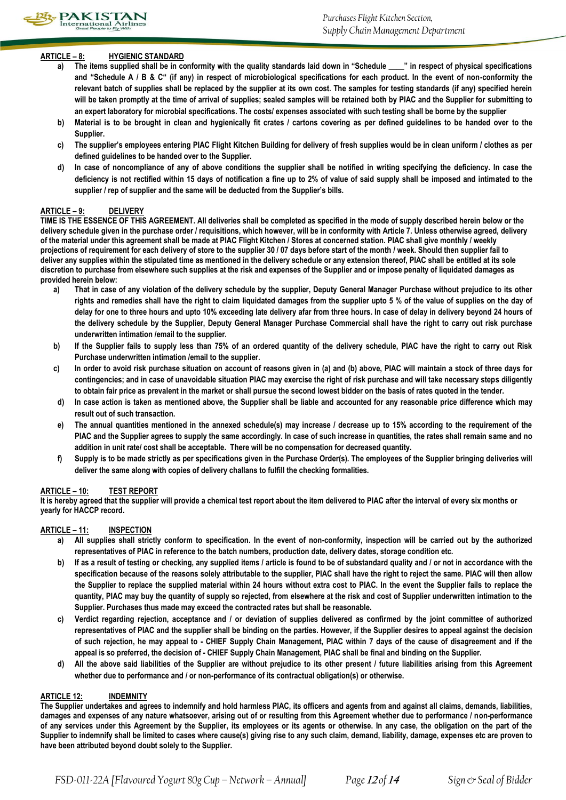### **ARTICLE – 8: HYGIENIC STANDARD**

- **a) The items supplied shall be in conformity with the quality standards laid down in "Schedule \_\_\_\_" in respect of physical specifications and "Schedule A / B & C" (if any) in respect of microbiological specifications for each product. In the event of non-conformity the relevant batch of supplies shall be replaced by the supplier at its own cost. The samples for testing standards (if any) specified herein will be taken promptly at the time of arrival of supplies; sealed samples will be retained both by PIAC and the Supplier for submitting to an expert laboratory for microbial specifications. The costs/ expenses associated with such testing shall be borne by the supplier**
- **b) Material is to be brought in clean and hygienically fit crates / cartons covering as per defined guidelines to be handed over to the Supplier.**
- **c) The supplier's employees entering PIAC Flight Kitchen Building for delivery of fresh supplies would be in clean uniform / clothes as per defined guidelines to be handed over to the Supplier.**
- **d) In case of noncompliance of any of above conditions the supplier shall be notified in writing specifying the deficiency. In case the deficiency is not rectified within 15 days of notification a fine up to 2% of value of said supply shall be imposed and intimated to the supplier / rep of supplier and the same will be deducted from the Supplier's bills.**

### **ARTICLE – 9: DELIVERY**

**TIME IS THE ESSENCE OF THIS AGREEMENT. All deliveries shall be completed as specified in the mode of supply described herein below or the delivery schedule given in the purchase order / requisitions, which however, will be in conformity with Article 7. Unless otherwise agreed, delivery of the material under this agreement shall be made at PIAC Flight Kitchen / Stores at concerned station. PIAC shall give monthly / weekly projections of requirement for each delivery of store to the supplier 30 / 07 days before start of the month / week. Should then supplier fail to deliver any supplies within the stipulated time as mentioned in the delivery schedule or any extension thereof, PIAC shall be entitled at its sole discretion to purchase from elsewhere such supplies at the risk and expenses of the Supplier and or impose penalty of liquidated damages as provided herein below:**

- **a) That in case of any violation of the delivery schedule by the supplier, Deputy General Manager Purchase without prejudice to its other rights and remedies shall have the right to claim liquidated damages from the supplier upto 5 % of the value of supplies on the day of delay for one to three hours and upto 10% exceeding late delivery afar from three hours. In case of delay in delivery beyond 24 hours of the delivery schedule by the Supplier, Deputy General Manager Purchase Commercial shall have the right to carry out risk purchase underwritten intimation /email to the supplier.**
- **b) If the Supplier fails to supply less than 75% of an ordered quantity of the delivery schedule, PIAC have the right to carry out Risk Purchase underwritten intimation /email to the supplier.**
- **c) In order to avoid risk purchase situation on account of reasons given in (a) and (b) above, PIAC will maintain a stock of three days for contingencies; and in case of unavoidable situation PIAC may exercise the right of risk purchase and will take necessary steps diligently to obtain fair price as prevalent in the market or shall pursue the second lowest bidder on the basis of rates quoted in the tender.**
- **d) In case action is taken as mentioned above, the Supplier shall be liable and accounted for any reasonable price difference which may result out of such transaction.**
- **e) The annual quantities mentioned in the annexed schedule(s) may increase / decrease up to 15% according to the requirement of the PIAC and the Supplier agrees to supply the same accordingly. In case of such increase in quantities, the rates shall remain same and no addition in unit rate/ cost shall be acceptable. There will be no compensation for decreased quantity.**
- **f) Supply is to be made strictly as per specifications given in the Purchase Order(s). The employees of the Supplier bringing deliveries will deliver the same along with copies of delivery challans to fulfill the checking formalities.**

### **ARTICLE – 10: TEST REPORT**

**It is hereby agreed that the supplier will provide a chemical test report about the item delivered to PIAC after the interval of every six months or yearly for HACCP record.**

### **ARTICLE – 11: INSPECTION**

- **a) All supplies shall strictly conform to specification. In the event of non-conformity, inspection will be carried out by the authorized representatives of PIAC in reference to the batch numbers, production date, delivery dates, storage condition etc.**
- **b) If as a result of testing or checking, any supplied items / article is found to be of substandard quality and / or not in accordance with the specification because of the reasons solely attributable to the supplier, PIAC shall have the right to reject the same. PIAC will then allow the Supplier to replace the supplied material within 24 hours without extra cost to PIAC. In the event the Supplier fails to replace the quantity, PIAC may buy the quantity of supply so rejected, from elsewhere at the risk and cost of Supplier underwritten intimation to the Supplier. Purchases thus made may exceed the contracted rates but shall be reasonable.**
- **c) Verdict regarding rejection, acceptance and / or deviation of supplies delivered as confirmed by the joint committee of authorized representatives of PIAC and the supplier shall be binding on the parties. However, if the Supplier desires to appeal against the decision of such rejection, he may appeal to - CHIEF Supply Chain Management, PIAC within 7 days of the cause of disagreement and if the appeal is so preferred, the decision of - CHIEF Supply Chain Management, PIAC shall be final and binding on the Supplier.**
- **d) All the above said liabilities of the Supplier are without prejudice to its other present / future liabilities arising from this Agreement whether due to performance and / or non-performance of its contractual obligation(s) or otherwise.**

### **ARTICLE 12: INDEMNITY**

**The Supplier undertakes and agrees to indemnify and hold harmless PIAC, its officers and agents from and against all claims, demands, liabilities, damages and expenses of any nature whatsoever, arising out of or resulting from this Agreement whether due to performance / non-performance of any services under this Agreement by the Supplier, its employees or its agents or otherwise. In any case, the obligation on the part of the Supplier to indemnify shall be limited to cases where cause(s) giving rise to any such claim, demand, liability, damage, expenses etc are proven to have been attributed beyond doubt solely to the Supplier.**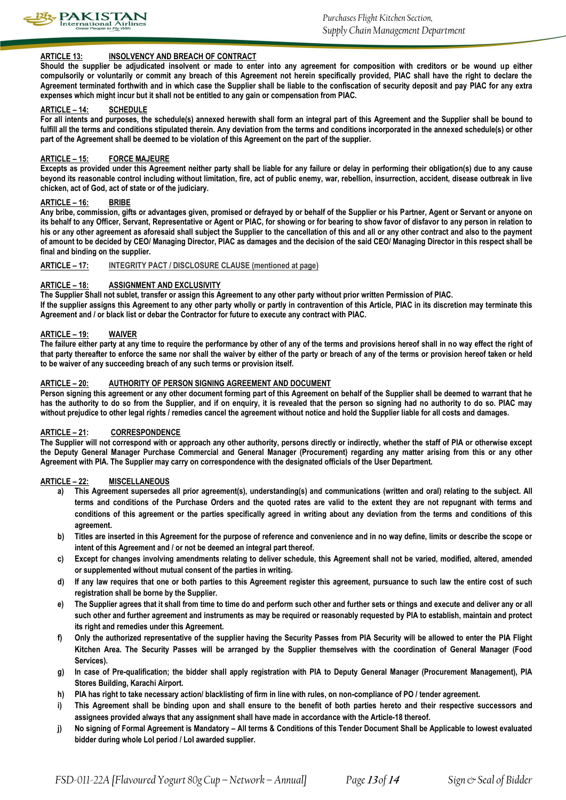

### **ARTICLE 13: INSOLVENCY AND BREACH OF CONTRACT**

**Should the supplier be adjudicated insolvent or made to enter into any agreement for composition with creditors or be wound up either compulsorily or voluntarily or commit any breach of this Agreement not herein specifically provided, PIAC shall have the right to declare the Agreement terminated forthwith and in which case the Supplier shall be liable to the confiscation of security deposit and pay PIAC for any extra expenses which might incur but it shall not be entitled to any gain or compensation from PIAC.**

#### **ARTICLE – 14: SCHEDULE**

**For all intents and purposes, the schedule(s) annexed herewith shall form an integral part of this Agreement and the Supplier shall be bound to**  fulfill all the terms and conditions stipulated therein. Any deviation from the terms and conditions incorporated in the annexed schedule(s) or other **part of the Agreement shall be deemed to be violation of this Agreement on the part of the supplier.**

#### **ARTICLE – 15: FORCE MAJEURE**

**Excepts as provided under this Agreement neither party shall be liable for any failure or delay in performing their obligation(s) due to any cause beyond its reasonable control including without limitation, fire, act of public enemy, war, rebellion, insurrection, accident, disease outbreak in live chicken, act of God, act of state or of the judiciary.**

#### **ARTICLE – 16: BRIBE**

**Any bribe, commission, gifts or advantages given, promised or defrayed by or behalf of the Supplier or his Partner, Agent or Servant or anyone on its behalf to any Officer, Servant, Representative or Agent or PIAC, for showing or for bearing to show favor of disfavor to any person in relation to his or any other agreement as aforesaid shall subject the Supplier to the cancellation of this and all or any other contract and also to the payment of amount to be decided by CEO/ Managing Director, PIAC as damages and the decision of the said CEO/ Managing Director in this respect shall be final and binding on the supplier.** 

#### **ARTICLE – 17: INTEGRITY PACT / DISCLOSURE CLAUSE (mentioned at page)**

#### **ARTICLE – 18: ASSIGNMENT AND EXCLUSIVITY**

**The Supplier Shall not sublet, transfer or assign this Agreement to any other party without prior written Permission of PIAC.**

**If the supplier assigns this Agreement to any other party wholly or partly in contravention of this Article, PIAC in its discretion may terminate this Agreement and / or black list or debar the Contractor for future to execute any contract with PIAC.**

#### **ARTICLE – 19: WAIVER**

The failure either party at any time to require the performance by other of any of the terms and provisions hereof shall in no way effect the right of **that party thereafter to enforce the same nor shall the waiver by either of the party or breach of any of the terms or provision hereof taken or held to be waiver of any succeeding breach of any such terms or provision itself.**

#### **ARTICLE – 20: AUTHORITY OF PERSON SIGNING AGREEMENT AND DOCUMENT**

**Person signing this agreement or any other document forming part of this Agreement on behalf of the Supplier shall be deemed to warrant that he has the authority to do so from the Supplier, and if on enquiry, it is revealed that the person so signing had no authority to do so. PIAC may without prejudice to other legal rights / remedies cancel the agreement without notice and hold the Supplier liable for all costs and damages.**

#### **ARTICLE – 21: CORRESPONDENCE**

**The Supplier will not correspond with or approach any other authority, persons directly or indirectly, whether the staff of PIA or otherwise except the Deputy General Manager Purchase Commercial and General Manager (Procurement) regarding any matter arising from this or any other Agreement with PIA. The Supplier may carry on correspondence with the designated officials of the User Department.** 

### **ARTICLE – 22: MISCELLANEOUS**

- **a) This Agreement supersedes all prior agreement(s), understanding(s) and communications (written and oral) relating to the subject. All terms and conditions of the Purchase Orders and the quoted rates are valid to the extent they are not repugnant with terms and conditions of this agreement or the parties specifically agreed in writing about any deviation from the terms and conditions of this agreement.**
- **b) Titles are inserted in this Agreement for the purpose of reference and convenience and in no way define, limits or describe the scope or intent of this Agreement and / or not be deemed an integral part thereof.**
- **c) Except for changes involving amendments relating to deliver schedule, this Agreement shall not be varied, modified, altered, amended or supplemented without mutual consent of the parties in writing.**
- **d) If any law requires that one or both parties to this Agreement register this agreement, pursuance to such law the entire cost of such registration shall be borne by the Supplier.**
- **e) The Supplier agrees that it shall from time to time do and perform such other and further sets or things and execute and deliver any or all such other and further agreement and instruments as may be required or reasonably requested by PIA to establish, maintain and protect its right and remedies under this Agreement.**
- **f) Only the authorized representative of the supplier having the Security Passes from PIA Security will be allowed to enter the PIA Flight Kitchen Area. The Security Passes will be arranged by the Supplier themselves with the coordination of General Manager (Food Services).**
- **g) In case of Pre-qualification; the bidder shall apply registration with PIA to Deputy General Manager (Procurement Management), PIA Stores Building, Karachi Airport.**
- **h) PIA has right to take necessary action/ blacklisting of firm in line with rules, on non-compliance of PO / tender agreement.**
- **i) This Agreement shall be binding upon and shall ensure to the benefit of both parties hereto and their respective successors and assignees provided always that any assignment shall have made in accordance with the Article-18 thereof.**
- **j) No signing of Formal Agreement is Mandatory – All terms & Conditions of this Tender Document Shall be Applicable to lowest evaluated bidder during whole LoI period / LoI awarded supplier.**